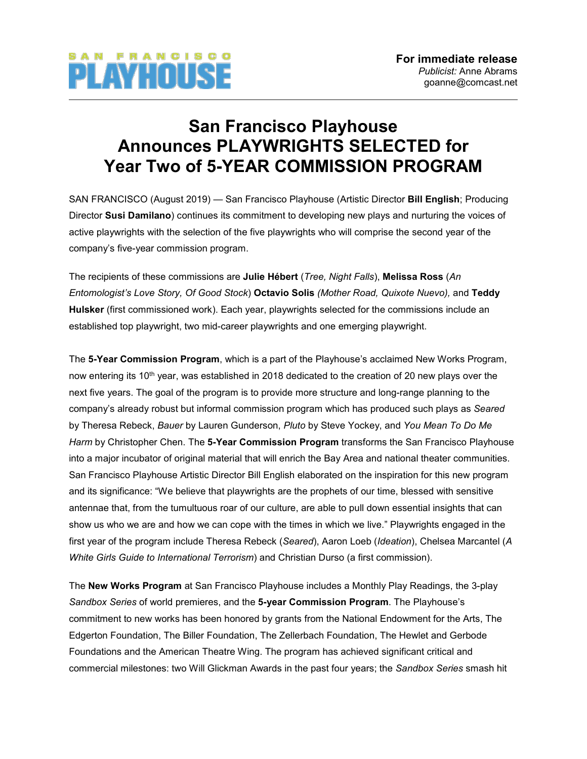# SAN FRANCISCO **LAYHOUSE**

## **San Francisco Playhouse Announces PLAYWRIGHTS SELECTED for Year Two of 5-YEAR COMMISSION PROGRAM**

SAN FRANCISCO (August 2019) — San Francisco Playhouse (Artistic Director **Bill English**; Producing Director **Susi Damilano**) continues its commitment to developing new plays and nurturing the voices of active playwrights with the selection of the five playwrights who will comprise the second year of the company's five-year commission program.

The recipients of these commissions are **Julie Hébert** (*Tree, Night Falls*), **Melissa Ross** (*An Entomologist's Love Story, Of Good Stock*) **Octavio Solis** *(Mother Road, Quixote Nuevo),* and **Teddy Hulsker** (first commissioned work). Each year, playwrights selected for the commissions include an established top playwright, two mid-career playwrights and one emerging playwright.

The **5-Year Commission Program**, which is a part of the Playhouse's acclaimed New Works Program, now entering its 10<sup>th</sup> year, was established in 2018 dedicated to the creation of 20 new plays over the next five years. The goal of the program is to provide more structure and long-range planning to the company's already robust but informal commission program which has produced such plays as *Seared* by Theresa Rebeck, *Bauer* by Lauren Gunderson, *Pluto* by Steve Yockey, and *You Mean To Do Me Harm* by Christopher Chen. The **5-Year Commission Program** transforms the San Francisco Playhouse into a major incubator of original material that will enrich the Bay Area and national theater communities. San Francisco Playhouse Artistic Director Bill English elaborated on the inspiration for this new program and its significance: "We believe that playwrights are the prophets of our time, blessed with sensitive antennae that, from the tumultuous roar of our culture, are able to pull down essential insights that can show us who we are and how we can cope with the times in which we live." Playwrights engaged in the first year of the program include Theresa Rebeck (*Seared*), Aaron Loeb (*Ideation*), Chelsea Marcantel (*A White Girls Guide to International Terrorism*) and Christian Durso (a first commission).

The **New Works Program** at San Francisco Playhouse includes a Monthly Play Readings, the 3-play *Sandbox Series* of world premieres, and the **5-year Commission Program**. The Playhouse's commitment to new works has been honored by grants from the National Endowment for the Arts, The Edgerton Foundation, The Biller Foundation, The Zellerbach Foundation, The Hewlet and Gerbode Foundations and the American Theatre Wing. The program has achieved significant critical and commercial milestones: two Will Glickman Awards in the past four years; the *Sandbox Series* smash hit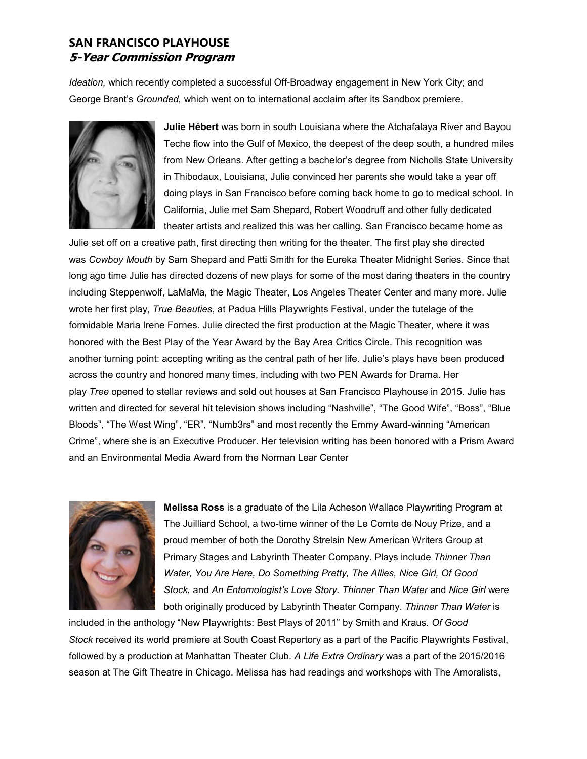#### **SAN FRANCISCO PLAYHOUSE 5-Year Commission Program**

*Ideation,* which recently completed a successful Off-Broadway engagement in New York City; and George Brant's *Grounded,* which went on to international acclaim after its Sandbox premiere.



**Julie Hébert** was born in south Louisiana where the Atchafalaya River and Bayou Teche flow into the Gulf of Mexico, the deepest of the deep south, a hundred miles from New Orleans. After getting a bachelor's degree from Nicholls State University in Thibodaux, Louisiana, Julie convinced her parents she would take a year off doing plays in San Francisco before coming back home to go to medical school. In California, Julie met Sam Shepard, Robert Woodruff and other fully dedicated theater artists and realized this was her calling. San Francisco became home as

Julie set off on a creative path, first directing then writing for the theater. The first play she directed was *Cowboy Mouth* by Sam Shepard and Patti Smith for the Eureka Theater Midnight Series. Since that long ago time Julie has directed dozens of new plays for some of the most daring theaters in the country including Steppenwolf, LaMaMa, the Magic Theater, Los Angeles Theater Center and many more. Julie wrote her first play, *True Beauties*, at Padua Hills Playwrights Festival, under the tutelage of the formidable Maria Irene Fornes. Julie directed the first production at the Magic Theater, where it was honored with the Best Play of the Year Award by the Bay Area Critics Circle. This recognition was another turning point: accepting writing as the central path of her life. Julie's plays have been produced across the country and honored many times, including with two PEN Awards for Drama. Her play *Tree* opened to stellar reviews and sold out houses at San Francisco Playhouse in 2015. Julie has written and directed for several hit television shows including "Nashville", "The Good Wife", "Boss", "Blue Bloods", "The West Wing", "ER", "Numb3rs" and most recently the Emmy Award-winning "American Crime", where she is an Executive Producer. Her television writing has been honored with a Prism Award and an Environmental Media Award from the Norman Lear Center



**Melissa Ross** is a graduate of the Lila Acheson Wallace Playwriting Program at The Juilliard School, a two-time winner of the Le Comte de Nouy Prize, and a proud member of both the Dorothy Strelsin New American Writers Group at Primary Stages and Labyrinth Theater Company. Plays include *Thinner Than Water, You Are Here, Do Something Pretty, The Allies, Nice Girl, Of Good Stock,* and *An Entomologist's Love Story. Thinner Than Water* and *Nice Girl* were both originally produced by Labyrinth Theater Company. *Thinner Than Water* is

included in the anthology "New Playwrights: Best Plays of 2011" by Smith and Kraus. *Of Good Stock* received its world premiere at South Coast Repertory as a part of the Pacific Playwrights Festival, followed by a production at Manhattan Theater Club. *A Life Extra Ordinary* was a part of the 2015/2016 season at The Gift Theatre in Chicago. Melissa has had readings and workshops with The Amoralists,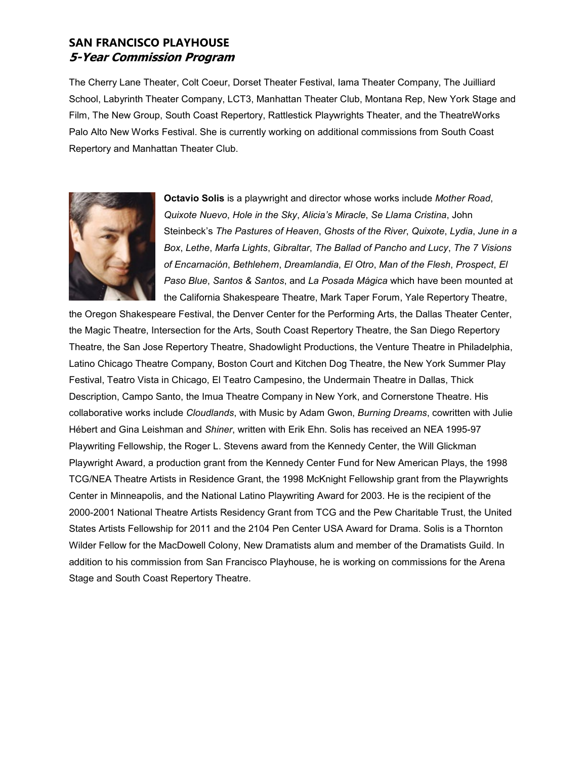#### **SAN FRANCISCO PLAYHOUSE 5-Year Commission Program**

The Cherry Lane Theater, Colt Coeur, Dorset Theater Festival, Iama Theater Company, The Juilliard School, Labyrinth Theater Company, LCT3, Manhattan Theater Club, Montana Rep, New York Stage and Film, The New Group, South Coast Repertory, Rattlestick Playwrights Theater, and the TheatreWorks Palo Alto New Works Festival. She is currently working on additional commissions from South Coast Repertory and Manhattan Theater Club.



**Octavio Solis** is a playwright and director whose works include *Mother Road*, *Quixote Nuevo*, *Hole in the Sky*, *Alicia's Miracle*, *Se Llama Cristina*, John Steinbeck's *The Pastures of Heaven*, *Ghosts of the River*, *Quixote*, *Lydia*, *June in a Box*, *Lethe*, *Marfa Lights*, *Gibraltar*, *The Ballad of Pancho and Lucy*, *The 7 Visions of Encarnación*, *Bethlehem*, *Dreamlandia*, *El Otro*, *Man of the Flesh*, *Prospect*, *El Paso Blue*, *Santos & Santos*, and *La Posada Mágica* which have been mounted at the California Shakespeare Theatre, Mark Taper Forum, Yale Repertory Theatre,

the Oregon Shakespeare Festival, the Denver Center for the Performing Arts, the Dallas Theater Center, the Magic Theatre, Intersection for the Arts, South Coast Repertory Theatre, the San Diego Repertory Theatre, the San Jose Repertory Theatre, Shadowlight Productions, the Venture Theatre in Philadelphia, Latino Chicago Theatre Company, Boston Court and Kitchen Dog Theatre, the New York Summer Play Festival, Teatro Vista in Chicago, El Teatro Campesino, the Undermain Theatre in Dallas, Thick Description, Campo Santo, the Imua Theatre Company in New York, and Cornerstone Theatre. His collaborative works include *Cloudlands*, with Music by Adam Gwon, *Burning Dreams*, cowritten with Julie Hébert and Gina Leishman and *Shiner*, written with Erik Ehn. Solis has received an NEA 1995-97 Playwriting Fellowship, the Roger L. Stevens award from the Kennedy Center, the Will Glickman Playwright Award, a production grant from the Kennedy Center Fund for New American Plays, the 1998 TCG/NEA Theatre Artists in Residence Grant, the 1998 McKnight Fellowship grant from the Playwrights Center in Minneapolis, and the National Latino Playwriting Award for 2003. He is the recipient of the 2000-2001 National Theatre Artists Residency Grant from TCG and the Pew Charitable Trust, the United States Artists Fellowship for 2011 and the 2104 Pen Center USA Award for Drama. Solis is a Thornton Wilder Fellow for the MacDowell Colony, New Dramatists alum and member of the Dramatists Guild. In addition to his commission from San Francisco Playhouse, he is working on commissions for the Arena Stage and South Coast Repertory Theatre.